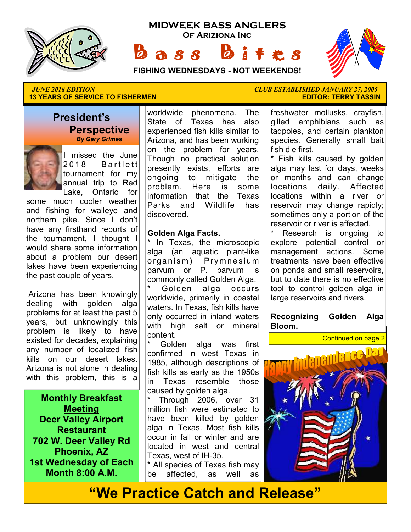

**MIDWEEK BASS ANGLERS Of Ariziona Inc**

 $\mathbf{a} s s$   $\mathbf{b}$ 



**FISHING WEDNESDAYS - NOT WEEKENDS!**

## **13 YEARS OF SERVICE TO FISHERMEN**

### **President's Perspective**   *By Gary Grimes*



I missed the June 2018 Bartlett tournament for my annual trip to Red Lake, Ontario for

some much cooler weather and fishing for walleye and northern pike. Since I don't have any firsthand reports of the tournament, I thought I would share some information about a problem our desert lakes have been experiencing the past couple of years.

 Arizona has been knowingly dealing with golden alga problems for at least the past 5 years, but unknowingly this problem is likely to have existed for decades, explaining any number of localized fish kills on our desert lakes. Arizona is not alone in dealing with this problem, this is a

**Monthly Breakfast Meeting Deer Valley Airport Restaurant 702 W. Deer Valley Rd Phoenix, AZ 1st Wednesday of Each Month 8:00 A.M.** 

worldwide phenomena. The State of Texas has also experienced fish kills similar to Arizona, and has been working on the problem for years. Though no practical solution presently exists, efforts are ongoing to mitigate the problem. Here is some information that the Texas Parks and Wildlife has discovered.

#### **Golden Alga Facts.**

\* In Texas, the microscopic alga (an aquatic plant-like organism) Prymnesium parvum or P. parvum is commonly called Golden Alga.

Golden alga occurs worldwide, primarily in coastal waters. In Texas, fish kills have only occurred in inland waters with high salt or mineral content.

Golden alga was first confirmed in west Texas in 1985, although descriptions of fish kills as early as the 1950s in Texas resemble those caused by golden alga.

Through 2006, over 31 million fish were estimated to have been killed by golden alga in Texas. Most fish kills occur in fall or winter and are located in west and central Texas, west of IH-35.

\* All species of Texas fish may be affected, as well as

*JUNE 2018 EDITION CLUB ESTABLISHED JANUARY 27, 2005* 

freshwater mollusks, crayfish, gilled amphibians such as tadpoles, and certain plankton species. Generally small bait fish die first.

\* Fish kills caused by golden alga may last for days, weeks or months and can change locations daily. Affected locations within a river or reservoir may change rapidly; sometimes only a portion of the reservoir or river is affected.

Research is ongoing to explore potential control or management actions. Some treatments have been effective on ponds and small reservoirs, but to date there is no effective tool to control golden alga in large reservoirs and rivers.

#### **Recognizing Golden Alga Bloom.**



**"We Practice Catch and Release"**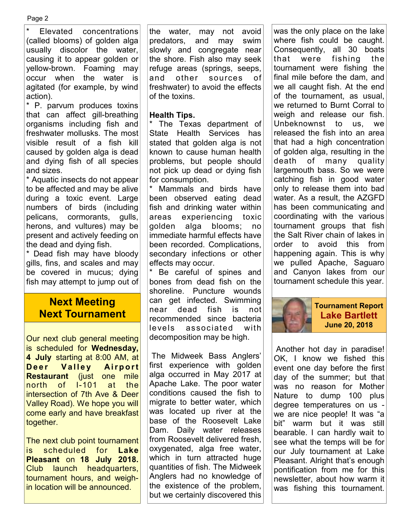Page 2

Elevated concentrations (called blooms) of golden alga usually discolor the water, causing it to appear golden or yellow-brown. Foaming may occur when the water is agitated (for example, by wind action).

\* P. parvum produces toxins that can affect gill-breathing organisms including fish and freshwater mollusks. The most visible result of a fish kill caused by golden alga is dead and dying fish of all species and sizes.

\* Aquatic insects do not appear to be affected and may be alive during a toxic event. Large numbers of birds (including pelicans, cormorants, gulls, herons, and vultures) may be present and actively feeding on the dead and dying fish.

\* Dead fish may have bloody gills, fins, and scales and may be covered in mucus; dying fish may attempt to jump out of

## **Next Meeting Next Tournament**

Our next club general meeting is scheduled for **Wednesday, 4 July** starting at 8:00 AM, at **Deer Valley Airport Restaurant** (just one mile north of I-101 at the intersection of 7th Ave & Deer Valley Road). We hope you will come early and have breakfast together.

The next club point tournament is scheduled for **Lake Pleasant** on **18 July 2018.**  Club launch headquarters, tournament hours, and weighin location will be announced.

the water, may not avoid predators, and may swim slowly and congregate near the shore. Fish also may seek refuge areas (springs, seeps, and other sources of freshwater) to avoid the effects of the toxins.

#### **Health Tips.**

The Texas department of State Health Services has stated that golden alga is not known to cause human health problems, but people should not pick up dead or dying fish for consumption.

Mammals and birds have been observed eating dead fish and drinking water within areas experiencing toxic golden alga blooms; no immediate harmful effects have been recorded. Complications, secondary infections or other effects may occur.

\* Be careful of spines and bones from dead fish on the shoreline. Puncture wounds can get infected. Swimming near dead fish is not recommended since bacteria levels associated with decomposition may be high.

 The Midweek Bass Anglers' first experience with golden alga occurred in May 2017 at Apache Lake. The poor water conditions caused the fish to migrate to better water, which was located up river at the base of the Roosevelt Lake Dam. Daily water releases from Roosevelt delivered fresh, oxygenated, alga free water, which in turn attracted huge quantities of fish. The Midweek Anglers had no knowledge of the existence of the problem, but we certainly discovered this was the only place on the lake where fish could be caught. Consequently, all 30 boats that were fishing the tournament were fishing the final mile before the dam, and we all caught fish. At the end of the tournament, as usual, we returned to Burnt Corral to weigh and release our fish. Unbeknownst to us, we released the fish into an area that had a high concentration of golden alga, resulting in the death of many quality largemouth bass. So we were catching fish in good water only to release them into bad water. As a result, the AZGFD has been communicating and coordinating with the various tournament groups that fish the Salt River chain of lakes in order to avoid this from happening again. This is why we pulled Apache, Saguaro and Canyon lakes from our tournament schedule this year.

#### **Tournament Report Lake Bartlett June 20, 2018**

 Another hot day in paradise! OK, I know we fished this event one day before the first day of the summer; but that was no reason for Mother Nature to dump 100 plus degree temperatures on us we are nice people! It was "a bit" warm but it was still bearable. I can hardly wait to see what the temps will be for our July tournament at Lake Pleasant. Alright that's enough pontification from me for this newsletter, about how warm it was fishing this tournament.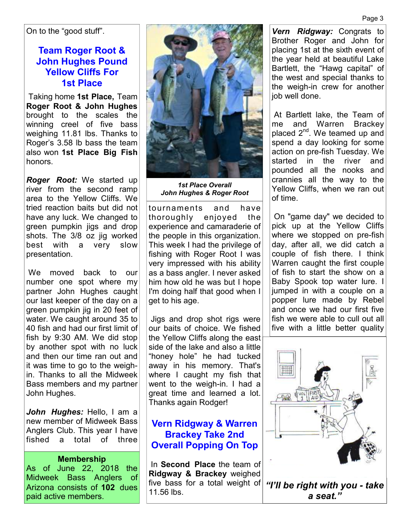## **Team Roger Root & John Hughes Pound Yellow Cliffs For 1st Place**

 Taking home **1st Place,** Team **Roger Root & John Hughes**  brought to the scales the winning creel of five bass weighing 11.81 lbs. Thanks to Roger's 3.58 lb bass the team also won **1st Place Big Fish**  honors.

*Roger Root:* We started up river from the second ramp area to the Yellow Cliffs. We tried reaction baits but did not have any luck. We changed to green pumpkin jigs and drop shots. The 3/8 oz jig worked best with a very slow presentation.

 We moved back to our number one spot where my partner John Hughes caught our last keeper of the day on a green pumpkin jig in 20 feet of water. We caught around 35 to 40 fish and had our first limit of fish by 9:30 AM. We did stop by another spot with no luck and then our time ran out and it was time to go to the weighin. Thanks to all the Midweek Bass members and my partner John Hughes.

*John Hughes:* Hello, I am a new member of Midweek Bass Anglers Club. This year I have fished a total of three

#### **Membership**

As of June 22, 2018 the Midweek Bass Anglers of Arizona consists of **102** dues paid active members.



*1st Place Overall John Hughes & Roger Root* 

tournaments and have thoroughly enjoyed the experience and camaraderie of the people in this organization. This week I had the privilege of fishing with Roger Root I was very impressed with his ability as a bass angler. I never asked him how old he was but I hope I'm doing half that good when I get to his age.

 Jigs and drop shot rigs were our baits of choice. We fished the Yellow Cliffs along the east side of the lake and also a little "honey hole" he had tucked away in his memory. That's where I caught my fish that went to the weigh-in. I had a great time and learned a lot. Thanks again Rodger!

## **Vern Ridgway & Warren Brackey Take 2nd Overall Popping On Top**

 In **Second Place** the team of **Ridgway & Brackey** weighed five bass for a total weight of 11.56 lbs.

*Vern Ridgway:* Congrats to Brother Roger and John for placing 1st at the sixth event of the year held at beautiful Lake Bartlett, the "Hawg capital" of the west and special thanks to the weigh-in crew for another job well done.

 At Bartlett lake, the Team of me and Warren Brackey placed 2<sup>nd</sup>. We teamed up and spend a day looking for some action on pre-fish Tuesday. We started in the river and pounded all the nooks and crannies all the way to the Yellow Cliffs, when we ran out of time.

 On "game day" we decided to pick up at the Yellow Cliffs where we stopped on pre-fish day, after all, we did catch a couple of fish there. I think Warren caught the first couple of fish to start the show on a Baby Spook top water lure. I jumped in with a couple on a popper lure made by Rebel and once we had our first five fish we were able to cull out all five with a little better quality



*"I'll be right with you - take a seat."*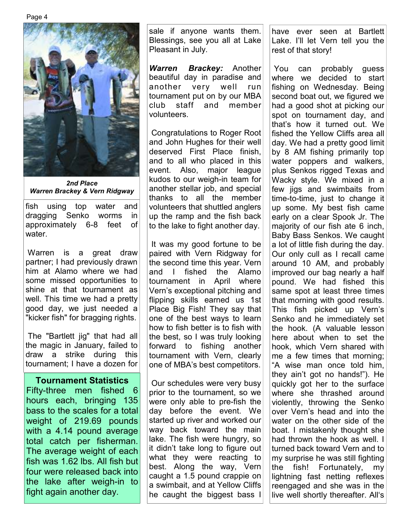

*2nd Place Warren Brackey & Vern Ridgway*

fish using top water and dragging Senko worms in approximately 6-8 feet of water.

 Warren is a great draw partner; I had previously drawn him at Alamo where we had some missed opportunities to shine at that tournament as well. This time we had a pretty good day, we just needed a "kicker fish" for bragging rights.

 The "Bartlett jig" that had all the magic in January, failed to draw a strike during this tournament; I have a dozen for

#### **Tournament Statistics**

Fifty-three men fished 6 hours each, bringing 135 bass to the scales for a total weight of 219.69 pounds with a 4.14 pound average total catch per fisherman. The average weight of each fish was 1.62 lbs. All fish but four were released back into the lake after weigh-in to fight again another day.

sale if anyone wants them. Blessings, see you all at Lake Pleasant in July.

*Warren Brackey:* Another beautiful day in paradise and another very well run tournament put on by our MBA club staff and member volunteers.

 Congratulations to Roger Root and John Hughes for their well deserved First Place finish, and to all who placed in this event. Also, major league kudos to our weigh-in team for another stellar job, and special thanks to all the member volunteers that shuttled anglers up the ramp and the fish back to the lake to fight another day.

 It was my good fortune to be paired with Vern Ridgway for the second time this year. Vern and I fished the Alamo tournament in April where Vern's exceptional pitching and flipping skills earned us 1st Place Big Fish! They say that one of the best ways to learn how to fish better is to fish with the best, so I was truly looking forward to fishing another tournament with Vern, clearly one of MBA's best competitors.

 Our schedules were very busy prior to the tournament, so we were only able to pre-fish the day before the event. We started up river and worked our way back toward the main lake. The fish were hungry, so it didn't take long to figure out what they were reacting to best. Along the way, Vern caught a 1.5 pound crappie on a swimbait, and at Yellow Cliffs he caught the biggest bass I

have ever seen at Bartlett Lake. I'll let Vern tell you the rest of that story!

 You can probably guess where we decided to start fishing on Wednesday. Being second boat out, we figured we had a good shot at picking our spot on tournament day, and that's how it turned out. We fished the Yellow Cliffs area all day. We had a pretty good limit by 8 AM fishing primarily top water poppers and walkers, plus Senkos rigged Texas and Wacky style. We mixed in a few jigs and swimbaits from time-to-time, just to change it up some. My best fish came early on a clear Spook Jr. The majority of our fish ate 6 inch, Baby Bass Senkos. We caught a lot of little fish during the day. Our only cull as I recall came around 10 AM, and probably improved our bag nearly a half pound. We had fished this same spot at least three times that morning with good results. This fish picked up Vern's Senko and he immediately set the hook. (A valuable lesson here about when to set the hook, which Vern shared with me a few times that morning; "A wise man once told him, they ain't got no hands!"). He quickly got her to the surface where she thrashed around violently, throwing the Senko over Vern's head and into the water on the other side of the boat. I mistakenly thought she had thrown the hook as well. I turned back toward Vern and to my surprise he was still fighting the fish! Fortunately, my lightning fast netting reflexes reengaged and she was in the live well shortly thereafter. All's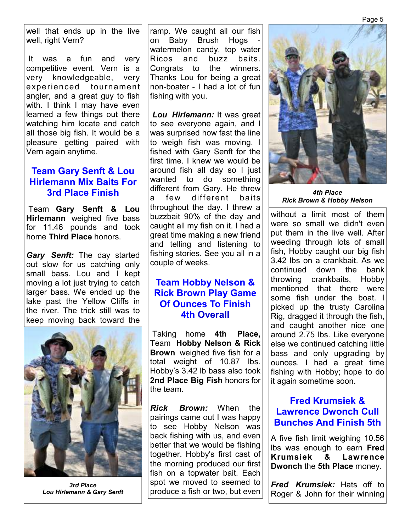well that ends up in the live well, right Vern?

 It was a fun and very competitive event. Vern is a very knowledgeable, very experienced tournament angler, and a great guy to fish with. I think I may have even learned a few things out there watching him locate and catch all those big fish. It would be a pleasure getting paired with Vern again anytime.

## **Team Gary Senft & Lou Hirlemann Mix Baits For 3rd Place Finish**

 Team **Gary Senft & Lou Hirlemann** weighed five bass for 11.46 pounds and took home **Third Place** honors.

*Gary Senft:* The day started out slow for us catching only small bass. Lou and I kept moving a lot just trying to catch larger bass. We ended up the lake past the Yellow Cliffs in the river. The trick still was to keep moving back toward the



*3rd Place Lou Hirlemann & Gary Senft*

ramp. We caught all our fish on Baby Brush Hogs watermelon candy, top water Ricos and buzz baits. Congrats to the winners. Thanks Lou for being a great non-boater - I had a lot of fun fishing with you.

*Lou Hirlemann:* It was great to see everyone again, and I was surprised how fast the line to weigh fish was moving. I fished with Gary Senft for the first time. I knew we would be around fish all day so I just wanted to do something different from Gary. He threw a few different baits throughout the day. I threw a buzzbait 90% of the day and caught all my fish on it. I had a great time making a new friend and telling and listening to fishing stories. See you all in a couple of weeks.

## **Team Hobby Nelson & Rick Brown Play Game Of Ounces To Finish 4th Overall**

 Taking home **4th Place,**  Team **Hobby Nelson & Rick Brown** weighed five fish for a total weight of 10.87 lbs. Hobby's 3.42 lb bass also took **2nd Place Big Fish** honors for the team.

*Rick Brown:* When the pairings came out I was happy to see Hobby Nelson was back fishing with us, and even better that we would be fishing together. Hobby's first cast of the morning produced our first fish on a topwater bait. Each spot we moved to seemed to produce a fish or two, but even



*4th Place Rick Brown & Hobby Nelson* 

without a limit most of them were so small we didn't even put them in the live well. After weeding through lots of small fish, Hobby caught our big fish 3.42 lbs on a crankbait. As we continued down the bank throwing crankbaits, Hobby mentioned that there were some fish under the boat. I picked up the trusty Carolina Rig, dragged it through the fish, and caught another nice one around 2.75 lbs. Like everyone else we continued catching little bass and only upgrading by ounces. I had a great time fishing with Hobby; hope to do it again sometime soon.

## **Fred Krumsiek & Lawrence Dwonch Cull Bunches And Finish 5th**

A five fish limit weighing 10.56 lbs was enough to earn **Fred Krumsiek & Lawrence Dwonch** the **5th Place** money.

*Fred Krumsiek:* Hats off to Roger & John for their winning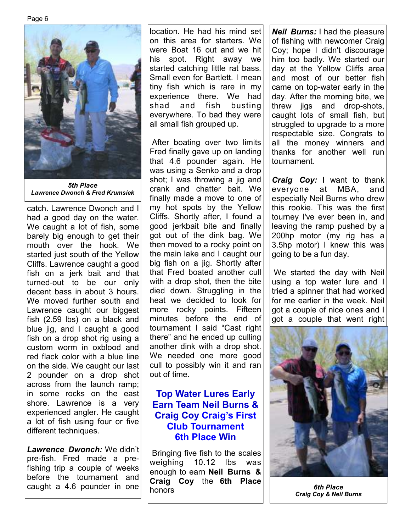Page 6



*5th Place Lawrence Dwonch & Fred Krumsiek* 

catch. Lawrence Dwonch and I had a good day on the water. We caught a lot of fish, some barely big enough to get their mouth over the hook. We started just south of the Yellow Cliffs. Lawrence caught a good fish on a jerk bait and that turned-out to be our only decent bass in about 3 hours. We moved further south and Lawrence caught our biggest fish (2.59 lbs) on a black and blue jig, and I caught a good fish on a drop shot rig using a custom worm in oxblood and red flack color with a blue line on the side. We caught our last 2 pounder on a drop shot across from the launch ramp; in some rocks on the east shore. Lawrence is a very experienced angler. He caught a lot of fish using four or five different techniques.

*Lawrence Dwonch:* We didn't pre-fish. Fred made a prefishing trip a couple of weeks before the tournament and caught a 4.6 pounder in one

location. He had his mind set on this area for starters. We were Boat 16 out and we hit his spot. Right away we started catching little rat bass. Small even for Bartlett. I mean tiny fish which is rare in my experience there. We had shad and fish busting everywhere. To bad they were all small fish grouped up.

 After boating over two limits Fred finally gave up on landing that 4.6 pounder again. He was using a Senko and a drop shot; I was throwing a jig and crank and chatter bait. We finally made a move to one of my hot spots by the Yellow Cliffs. Shortly after, I found a good jerkbait bite and finally got out of the dink bag. We then moved to a rocky point on the main lake and I caught our big fish on a jig. Shortly after that Fred boated another cull with a drop shot, then the bite died down. Struggling in the heat we decided to look for more rocky points. Fifteen minutes before the end of tournament I said "Cast right there" and he ended up culling another dink with a drop shot. We needed one more good cull to possibly win it and ran out of time.

## **Top Water Lures Early Earn Team Neil Burns & Craig Coy Craig's First Club Tournament 6th Place Win**

 Bringing five fish to the scales weighing 10.12 lbs was enough to earn **Neil Burns & Craig Coy** the **6th Place**  honors

*Neil Burns:* I had the pleasure of fishing with newcomer Craig Coy; hope I didn't discourage him too badly. We started our day at the Yellow Cliffs area and most of our better fish came on top-water early in the day. After the morning bite, we threw jigs and drop-shots, caught lots of small fish, but struggled to upgrade to a more respectable size. Congrats to all the money winners and thanks for another well run tournament.

*Craig Coy:* I want to thank everyone at MBA, and especially Neil Burns who drew this rookie. This was the first tourney I've ever been in, and leaving the ramp pushed by a 200hp motor (my rig has a 3.5hp motor) I knew this was going to be a fun day.

 We started the day with Neil using a top water lure and I tried a spinner that had worked for me earlier in the week. Neil got a couple of nice ones and I got a couple that went right



*6th Place Craig Coy & Neil Burns*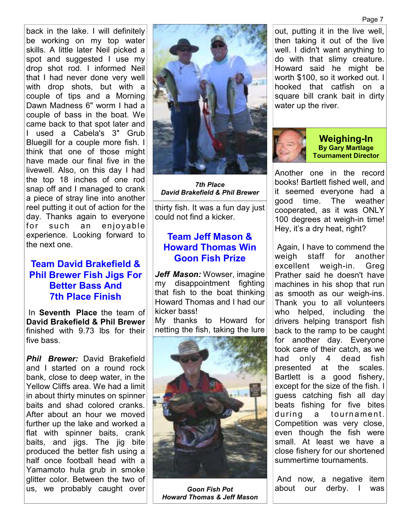back in the lake. I will definitely be working on my top water skills. A little later Neil picked a spot and suggested I use my drop shot rod. I informed Neil that I had never done very well with drop shots, but with a couple of tips and a Morning Dawn Madness 6" worm I had a couple of bass in the boat. We came back to that spot later and I used a Cabela's 3" Grub Bluegill for a couple more fish. I think that one of those might have made our final five in the livewell. Also, on this day I had the top 18 inches of one rod snap off and I managed to crank a piece of stray line into another reel putting it out of action for the day. Thanks again to everyone for such an enjovable experience. Looking forward to the next one.

## **Team David Brakefield & Phil Brewer Fish Jigs For Better Bass And 7th Place Finish**

 In **Seventh Place** the team of **David Brakefield & Phil Brewer**  finished with 9.73 lbs for their five bass.

*Phil Brewer:* David Brakefield and I started on a round rock bank, close to deep water, in the Yellow Cliffs area. We had a limit in about thirty minutes on spinner baits and shad colored cranks. After about an hour we moved further up the lake and worked a flat with spinner baits, crank baits, and jigs. The jig bite produced the better fish using a half once football head with a Yamamoto hula grub in smoke glitter color. Between the two of us, we probably caught over



*7th Place David Brakefield & Phil Brewer* 

thirty fish. It was a fun day just could not find a kicker.

## **Team Jeff Mason & Howard Thomas Win Goon Fish Prize**

*Jeff Mason:* Wowser, imagine my disappointment fighting that fish to the boat thinking Howard Thomas and I had our kicker bass!

My thanks to Howard for netting the fish, taking the lure



*Goon Fish Pot Howard Thomas & Jeff Mason* 

out, putting it in the live well, then taking it out of the live well. I didn't want anything to do with that slimy creature. Howard said he might be worth \$100, so it worked out. I hooked that catfish on a square bill crank bait in dirty water up the river.



#### **Weighing-In By Gary Martlage Tournament Director**

Another one in the record books! Bartlett fished well, and it seemed everyone had a good time. The weather cooperated, as it was ONLY 100 degrees at weigh-in time! Hey, it's a dry heat, right?

 Again, I have to commend the weigh staff for another excellent weigh-in. Greg Prather said he doesn't have machines in his shop that run as smooth as our weigh-ins. Thank you to all volunteers who helped, including the drivers helping transport fish back to the ramp to be caught for another day. Everyone took care of their catch, as we had only 4 dead fish presented at the scales. Bartlett is a good fishery, except for the size of the fish. I guess catching fish all day beats fishing for five bites during a tournament. Competition was very close, even though the fish were small. At least we have a close fishery for our shortened summertime tournaments.

 And now, a negative item about our derby. I was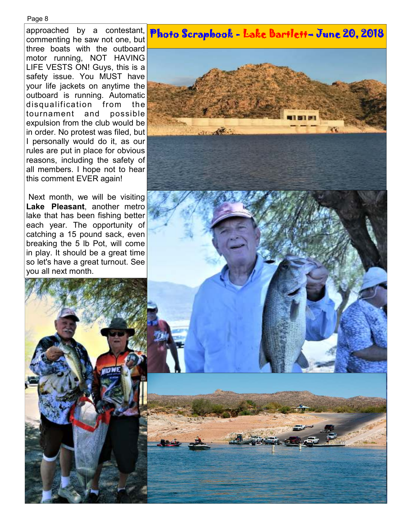#### Page 8

approached by a contestant, commenting he saw not one, but three boats with the outboard motor running, NOT HAVING LIFE VESTS ON! Guys, this is a safety issue. You MUST have your life jackets on anytime the outboard is running. Automatic disqualification from the tournament and possible expulsion from the club would be in order. No protest was filed, but I personally would do it, as our rules are put in place for obvious reasons, including the safety of all members. I hope not to hear this comment EVER again!

 Next month, we will be visiting **Lake Pleasant**, another metro



# Photo Scrapbook - Lake Bartlett- June 20, 2018

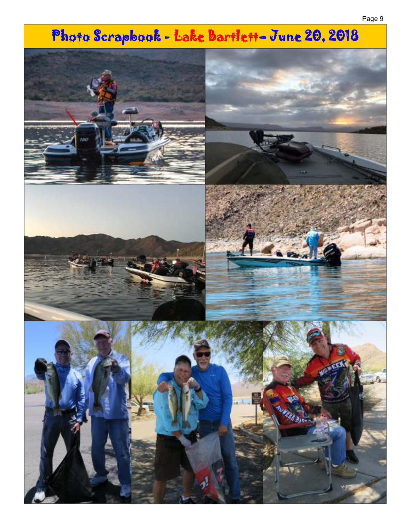# Photo Scrapbook - Lake Bartlett- June 20, 2018